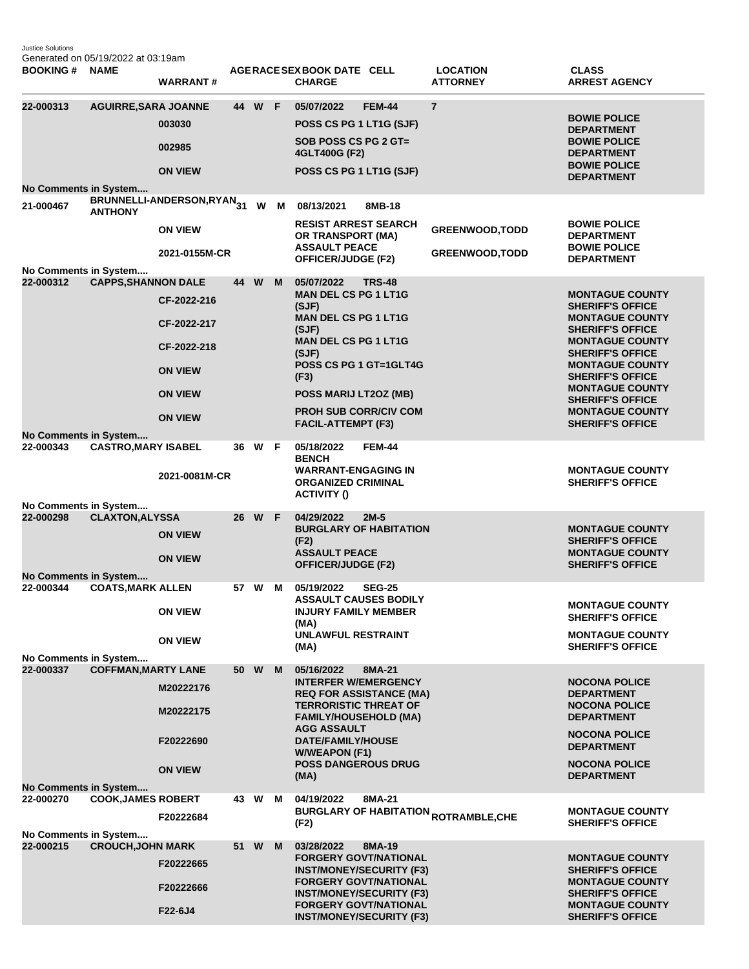Justice Solutions Generated on 05/19/2022 at 03:19am

| <b>BOOKING#</b>                                             | <b>NAME</b>                 | <b>WARRANT#</b>                                                                                 |      |        |   | AGERACE SEX BOOK DATE CELL<br><b>CHARGE</b>                                                                                                                                                                                      |                                                                                                                                                                                                                 | <b>LOCATION</b><br><b>ATTORNEY</b>                     | <b>CLASS</b><br><b>ARREST AGENCY</b>                                                                                                                                                                                                                                                                                       |
|-------------------------------------------------------------|-----------------------------|-------------------------------------------------------------------------------------------------|------|--------|---|----------------------------------------------------------------------------------------------------------------------------------------------------------------------------------------------------------------------------------|-----------------------------------------------------------------------------------------------------------------------------------------------------------------------------------------------------------------|--------------------------------------------------------|----------------------------------------------------------------------------------------------------------------------------------------------------------------------------------------------------------------------------------------------------------------------------------------------------------------------------|
| 22-000313<br>No Comments in System                          | <b>AGUIRRE, SARA JOANNE</b> | 003030<br>002985<br><b>ON VIEW</b>                                                              |      | 44 W F |   | 05/07/2022<br>POSS CS PG 1 LT1G (SJF)<br>SOB POSS CS PG 2 GT=<br>4GLT400G (F2)<br>POSS CS PG 1 LT1G (SJF)                                                                                                                        | <b>FEM-44</b>                                                                                                                                                                                                   | $\overline{7}$                                         | <b>BOWIE POLICE</b><br><b>DEPARTMENT</b><br><b>BOWIE POLICE</b><br><b>DEPARTMENT</b><br><b>BOWIE POLICE</b><br><b>DEPARTMENT</b>                                                                                                                                                                                           |
| 21-000467                                                   | <b>ANTHONY</b>              | BRUNNELLI-ANDERSON,RYAN <sub>31</sub> W M<br><b>ON VIEW</b><br>2021-0155M-CR                    |      |        |   | 08/13/2021<br><b>RESIST ARREST SEARCH</b><br>OR TRANSPORT (MA)<br><b>ASSAULT PEACE</b><br><b>OFFICER/JUDGE (F2)</b>                                                                                                              | 8MB-18                                                                                                                                                                                                          | <b>GREENWOOD, TODD</b><br><b>GREENWOOD, TODD</b>       | <b>BOWIE POLICE</b><br><b>DEPARTMENT</b><br><b>BOWIE POLICE</b><br><b>DEPARTMENT</b>                                                                                                                                                                                                                                       |
| No Comments in System<br>22-000312                          | <b>CAPPS, SHANNON DALE</b>  | CF-2022-216<br>CF-2022-217<br>CF-2022-218<br><b>ON VIEW</b><br><b>ON VIEW</b><br><b>ON VIEW</b> |      | 44 W   | M | 05/07/2022<br><b>MAN DEL CS PG 1 LT1G</b><br>(SJF)<br><b>MAN DEL CS PG 1 LT1G</b><br>(SJF)<br><b>MAN DEL CS PG 1 LT1G</b><br>(SJF)<br>(F3)<br>POSS MARIJ LT2OZ (MB)<br><b>PROH SUB CORR/CIV COM</b><br><b>FACIL-ATTEMPT (F3)</b> | <b>TRS-48</b><br>POSS CS PG 1 GT=1GLT4G                                                                                                                                                                         |                                                        | <b>MONTAGUE COUNTY</b><br><b>SHERIFF'S OFFICE</b><br><b>MONTAGUE COUNTY</b><br><b>SHERIFF'S OFFICE</b><br><b>MONTAGUE COUNTY</b><br><b>SHERIFF'S OFFICE</b><br><b>MONTAGUE COUNTY</b><br><b>SHERIFF'S OFFICE</b><br><b>MONTAGUE COUNTY</b><br><b>SHERIFF'S OFFICE</b><br><b>MONTAGUE COUNTY</b><br><b>SHERIFF'S OFFICE</b> |
| No Comments in System<br>22-000343                          | <b>CASTRO, MARY ISABEL</b>  | 2021-0081M-CR                                                                                   |      | 36 W F |   | 05/18/2022<br><b>BENCH</b><br><b>WARRANT-ENGAGING IN</b><br><b>ORGANIZED CRIMINAL</b><br><b>ACTIVITY ()</b>                                                                                                                      | <b>FEM-44</b>                                                                                                                                                                                                   |                                                        | <b>MONTAGUE COUNTY</b><br><b>SHERIFF'S OFFICE</b>                                                                                                                                                                                                                                                                          |
| No Comments in System<br>22-000298<br>No Comments in System | <b>CLAXTON, ALYSSA</b>      | <b>ON VIEW</b><br><b>ON VIEW</b>                                                                |      | 26 W F |   | 04/29/2022<br>(F2)<br><b>ASSAULT PEACE</b><br><b>OFFICER/JUDGE (F2)</b>                                                                                                                                                          | $2M-5$<br><b>BURGLARY OF HABITATION</b>                                                                                                                                                                         |                                                        | <b>MONTAGUE COUNTY</b><br><b>SHERIFF'S OFFICE</b><br><b>MONTAGUE COUNTY</b><br><b>SHERIFF'S OFFICE</b>                                                                                                                                                                                                                     |
| 22-000344<br>No Comments in System                          | <b>COATS, MARK ALLEN</b>    | <b>ON VIEW</b><br><b>ON VIEW</b>                                                                |      | 57 W   | м | 05/19/2022<br><b>INJURY FAMILY MEMBER</b><br>(MA)<br><b>UNLAWFUL RESTRAINT</b><br>(MA)                                                                                                                                           | <b>SEG-25</b><br><b>ASSAULT CAUSES BODILY</b>                                                                                                                                                                   |                                                        | <b>MONTAGUE COUNTY</b><br><b>SHERIFF'S OFFICE</b><br><b>MONTAGUE COUNTY</b><br><b>SHERIFF'S OFFICE</b>                                                                                                                                                                                                                     |
| 22-000337<br><b>No Comments in System</b>                   | <b>COFFMAN, MARTY LANE</b>  | M20222176<br>M20222175<br>F20222690<br><b>ON VIEW</b>                                           | 50 W |        | M | 05/16/2022<br><b>INTERFER W/EMERGENCY</b><br><b>TERRORISTIC THREAT OF</b><br><b>FAMILY/HOUSEHOLD (MA)</b><br><b>AGG ASSAULT</b><br>DATE/FAMILY/HOUSE<br><b>W/WEAPON (F1)</b><br><b>POSS DANGEROUS DRUG</b><br>(MA)               | 8MA-21<br><b>REQ FOR ASSISTANCE (MA)</b>                                                                                                                                                                        |                                                        | <b>NOCONA POLICE</b><br><b>DEPARTMENT</b><br><b>NOCONA POLICE</b><br><b>DEPARTMENT</b><br><b>NOCONA POLICE</b><br><b>DEPARTMENT</b><br><b>NOCONA POLICE</b><br><b>DEPARTMENT</b>                                                                                                                                           |
| 22-000270<br>No Comments in System                          | <b>COOK, JAMES ROBERT</b>   | F20222684                                                                                       |      | 43 W   | M | 04/19/2022<br>(F2)                                                                                                                                                                                                               | 8MA-21                                                                                                                                                                                                          | <b>BURGLARY OF HABITATION <sub>ROTRAMBLE,CHE</sub></b> | <b>MONTAGUE COUNTY</b><br><b>SHERIFF'S OFFICE</b>                                                                                                                                                                                                                                                                          |
| 22-000215                                                   | <b>CROUCH, JOHN MARK</b>    | F20222665<br>F20222666<br>F22-6J4                                                               |      | 51 W   | M | 03/28/2022                                                                                                                                                                                                                       | 8MA-19<br><b>FORGERY GOVT/NATIONAL</b><br><b>INST/MONEY/SECURITY (F3)</b><br><b>FORGERY GOVT/NATIONAL</b><br><b>INST/MONEY/SECURITY (F3)</b><br><b>FORGERY GOVT/NATIONAL</b><br><b>INST/MONEY/SECURITY (F3)</b> |                                                        | <b>MONTAGUE COUNTY</b><br><b>SHERIFF'S OFFICE</b><br><b>MONTAGUE COUNTY</b><br><b>SHERIFF'S OFFICE</b><br><b>MONTAGUE COUNTY</b><br><b>SHERIFF'S OFFICE</b>                                                                                                                                                                |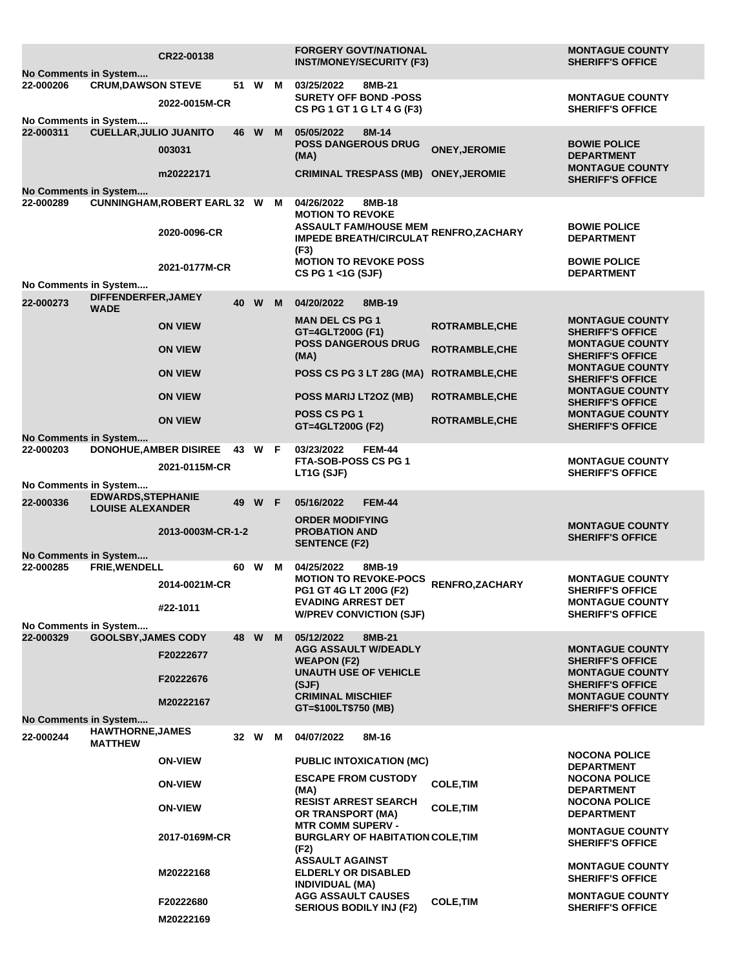| No Comments in System                     |                                           | CR22-00138                                            |        |        |   | <b>FORGERY GOVT/NATIONAL</b><br><b>INST/MONEY/SECURITY (F3)</b>                                                                                                  |                       | <b>MONTAGUE COUNTY</b><br><b>SHERIFF'S OFFICE</b>                  |
|-------------------------------------------|-------------------------------------------|-------------------------------------------------------|--------|--------|---|------------------------------------------------------------------------------------------------------------------------------------------------------------------|-----------------------|--------------------------------------------------------------------|
| 22-000206<br>No Comments in System        | <b>CRUM, DAWSON STEVE</b>                 | 2022-0015M-CR                                         |        | 51 W M |   | 03/25/2022<br>8MB-21<br><b>SURETY OFF BOND -POSS</b><br>CS PG 1 GT 1 G LT 4 G (F3)                                                                               |                       | <b>MONTAGUE COUNTY</b><br><b>SHERIFF'S OFFICE</b>                  |
| 22-000311                                 | <b>CUELLAR, JULIO JUANITO</b>             | 003031                                                | 46     | W      | M | 05/05/2022<br>8M-14<br><b>POSS DANGEROUS DRUG</b><br>(MA)                                                                                                        | <b>ONEY, JEROMIE</b>  | <b>BOWIE POLICE</b><br><b>DEPARTMENT</b><br><b>MONTAGUE COUNTY</b> |
| No Comments in System                     |                                           | m20222171                                             |        |        |   | CRIMINAL TRESPASS (MB) ONEY, JEROMIE                                                                                                                             |                       | <b>SHERIFF'S OFFICE</b>                                            |
| 22-000289                                 |                                           | <b>CUNNINGHAM, ROBERT EARL 32 W M</b><br>2020-0096-CR |        |        |   | 04/26/2022<br>8MB-18<br><b>MOTION TO REVOKE</b><br>ASSAULT FAM/HOUSE MEM RENFRO,ZACHARY<br><b>IMPEDE BREATH/CIRCULAT</b><br>(F3)<br><b>MOTION TO REVOKE POSS</b> |                       | <b>BOWIE POLICE</b><br><b>DEPARTMENT</b><br><b>BOWIE POLICE</b>    |
| No Comments in System                     |                                           | 2021-0177M-CR                                         |        |        |   | CS PG 1 <1G (SJF)                                                                                                                                                |                       | <b>DEPARTMENT</b>                                                  |
| 22-000273                                 | DIFFENDERFER, JAMEY<br><b>WADE</b>        |                                                       | 40     | W      | M | 04/20/2022<br>8MB-19                                                                                                                                             |                       |                                                                    |
|                                           |                                           | <b>ON VIEW</b>                                        |        |        |   | <b>MAN DEL CS PG 1</b><br>GT=4GLT200G (F1)                                                                                                                       | <b>ROTRAMBLE, CHE</b> | <b>MONTAGUE COUNTY</b><br><b>SHERIFF'S OFFICE</b>                  |
|                                           |                                           | <b>ON VIEW</b>                                        |        |        |   | <b>POSS DANGEROUS DRUG</b><br>(MA)                                                                                                                               | <b>ROTRAMBLE,CHE</b>  | <b>MONTAGUE COUNTY</b><br><b>SHERIFF'S OFFICE</b>                  |
|                                           |                                           | <b>ON VIEW</b>                                        |        |        |   | POSS CS PG 3 LT 28G (MA)                                                                                                                                         | <b>ROTRAMBLE, CHE</b> | <b>MONTAGUE COUNTY</b><br><b>SHERIFF'S OFFICE</b>                  |
|                                           |                                           | <b>ON VIEW</b>                                        |        |        |   | POSS MARIJ LT2OZ (MB)                                                                                                                                            | <b>ROTRAMBLE, CHE</b> | <b>MONTAGUE COUNTY</b><br><b>SHERIFF'S OFFICE</b>                  |
|                                           |                                           | <b>ON VIEW</b>                                        |        |        |   | <b>POSS CS PG 1</b><br>GT=4GLT200G (F2)                                                                                                                          | ROTRAMBLE, CHE        | <b>MONTAGUE COUNTY</b><br><b>SHERIFF'S OFFICE</b>                  |
| <b>No Comments in System</b><br>22-000203 |                                           | <b>DONOHUE, AMBER DISIREE</b>                         | 43 W F |        |   | 03/23/2022<br><b>FEM-44</b>                                                                                                                                      |                       |                                                                    |
|                                           |                                           | 2021-0115M-CR                                         |        |        |   | FTA-SOB-POSS CS PG 1<br>LT1G (SJF)                                                                                                                               |                       | <b>MONTAGUE COUNTY</b><br><b>SHERIFF'S OFFICE</b>                  |
| No Comments in System                     | <b>EDWARDS, STEPHANIE</b>                 |                                                       |        |        |   |                                                                                                                                                                  |                       |                                                                    |
| 22-000336                                 | <b>LOUISE ALEXANDER</b>                   |                                                       | 49     | W      | F | <b>FEM-44</b><br>05/16/2022<br><b>ORDER MODIFYING</b>                                                                                                            |                       |                                                                    |
|                                           |                                           | 2013-0003M-CR-1-2                                     |        |        |   | <b>PROBATION AND</b><br><b>SENTENCE (F2)</b>                                                                                                                     |                       | <b>MONTAGUE COUNTY</b><br><b>SHERIFF'S OFFICE</b>                  |
| <b>No Comments in System</b><br>22-000285 | <b>FRIE.WENDELL</b>                       |                                                       | 60 W   |        | м | 04/25/2022<br>8MB-19                                                                                                                                             |                       |                                                                    |
|                                           |                                           | 2014-0021M-CR                                         |        |        |   | <b>MOTION TO REVOKE-POCS</b><br>PG1 GT 4G LT 200G (F2)                                                                                                           | RENFRO, ZACHARY       | <b>MONTAGUE COUNTY</b><br><b>SHERIFF'S OFFICE</b>                  |
|                                           |                                           | #22-1011                                              |        |        |   | <b>EVADING ARREST DET</b><br><b>W/PREV CONVICTION (SJF)</b>                                                                                                      |                       | <b>MONTAGUE COUNTY</b><br><b>SHERIFF'S OFFICE</b>                  |
| No Comments in System<br>22-000329        | <b>GOOLSBY, JAMES CODY</b>                |                                                       | 48 W   |        | M | 05/12/2022<br>8MB-21                                                                                                                                             |                       |                                                                    |
|                                           |                                           | F20222677                                             |        |        |   | <b>AGG ASSAULT W/DEADLY</b><br><b>WEAPON (F2)</b>                                                                                                                |                       | <b>MONTAGUE COUNTY</b><br><b>SHERIFF'S OFFICE</b>                  |
|                                           |                                           | F20222676                                             |        |        |   | <b>UNAUTH USE OF VEHICLE</b><br>(SJF)                                                                                                                            |                       | <b>MONTAGUE COUNTY</b><br><b>SHERIFF'S OFFICE</b>                  |
|                                           |                                           | M20222167                                             |        |        |   | <b>CRIMINAL MISCHIEF</b><br>GT=\$100LT\$750 (MB)                                                                                                                 |                       | <b>MONTAGUE COUNTY</b><br><b>SHERIFF'S OFFICE</b>                  |
| No Comments in System                     |                                           |                                                       |        |        |   |                                                                                                                                                                  |                       |                                                                    |
| 22-000244                                 | <b>HAWTHORNE, JAMES</b><br><b>MATTHEW</b> |                                                       | 32 W   |        | м | 04/07/2022<br>8M-16                                                                                                                                              |                       |                                                                    |
|                                           |                                           | <b>ON-VIEW</b>                                        |        |        |   | <b>PUBLIC INTOXICATION (MC)</b>                                                                                                                                  |                       | <b>NOCONA POLICE</b><br><b>DEPARTMENT</b>                          |
|                                           |                                           | <b>ON-VIEW</b>                                        |        |        |   | <b>ESCAPE FROM CUSTODY</b><br>(MA)                                                                                                                               | <b>COLE, TIM</b>      | <b>NOCONA POLICE</b><br><b>DEPARTMENT</b>                          |
|                                           |                                           | <b>ON-VIEW</b>                                        |        |        |   | <b>RESIST ARREST SEARCH</b><br><b>OR TRANSPORT (MA)</b>                                                                                                          | <b>COLE, TIM</b>      | <b>NOCONA POLICE</b><br><b>DEPARTMENT</b>                          |
|                                           |                                           | 2017-0169M-CR                                         |        |        |   | <b>MTR COMM SUPERV -</b><br><b>BURGLARY OF HABITATION COLE, TIM</b><br>(F2)                                                                                      |                       | <b>MONTAGUE COUNTY</b><br><b>SHERIFF'S OFFICE</b>                  |
|                                           |                                           | M20222168                                             |        |        |   | <b>ASSAULT AGAINST</b><br><b>ELDERLY OR DISABLED</b><br><b>INDIVIDUAL (MA)</b>                                                                                   |                       | <b>MONTAGUE COUNTY</b><br><b>SHERIFF'S OFFICE</b>                  |
|                                           |                                           | F20222680                                             |        |        |   | <b>AGG ASSAULT CAUSES</b><br><b>SERIOUS BODILY INJ (F2)</b>                                                                                                      | <b>COLE, TIM</b>      | <b>MONTAGUE COUNTY</b><br><b>SHERIFF'S OFFICE</b>                  |
|                                           |                                           | M20222169                                             |        |        |   |                                                                                                                                                                  |                       |                                                                    |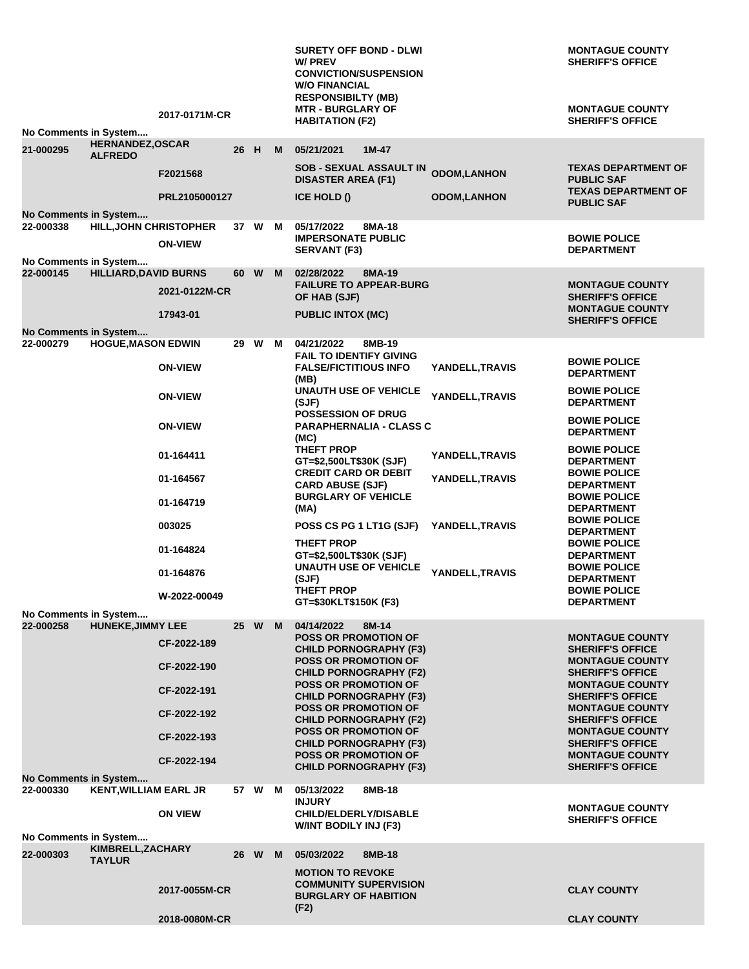|           |                                                       | 2017-0171M-CR  |      |        |   | <b>SURETY OFF BOND - DLWI</b><br>W/ PREV<br><b>CONVICTION/SUSPENSION</b><br><b>W/O FINANCIAL</b><br><b>RESPONSIBILTY (MB)</b><br><b>MTR - BURGLARY OF</b> |                    | <b>MONTAGUE COUNTY</b><br><b>SHERIFF'S OFFICE</b><br><b>MONTAGUE COUNTY</b>   |
|-----------|-------------------------------------------------------|----------------|------|--------|---|-----------------------------------------------------------------------------------------------------------------------------------------------------------|--------------------|-------------------------------------------------------------------------------|
|           | No Comments in System                                 |                |      |        |   | <b>HABITATION (F2)</b>                                                                                                                                    |                    | <b>SHERIFF'S OFFICE</b>                                                       |
| 21-000295 | <b>HERNANDEZ, OSCAR</b><br><b>ALFREDO</b>             |                | 26 H |        | M | 05/21/2021<br>$1M-47$                                                                                                                                     |                    |                                                                               |
|           |                                                       | F2021568       |      |        |   | <b>SOB - SEXUAL ASSAULT IN</b><br><b>DISASTER AREA (F1)</b>                                                                                               | <b>ODOM,LANHON</b> | <b>TEXAS DEPARTMENT OF</b><br><b>PUBLIC SAF</b><br><b>TEXAS DEPARTMENT OF</b> |
|           | No Comments in System                                 | PRL2105000127  |      |        |   | ICE HOLD ()                                                                                                                                               | <b>ODOM,LANHON</b> | <b>PUBLIC SAF</b>                                                             |
| 22-000338 | HILL, JOHN CHRISTOPHER                                |                |      | 37 W M |   | 05/17/2022<br>8MA-18<br><b>IMPERSONATE PUBLIC</b>                                                                                                         |                    | <b>BOWIE POLICE</b>                                                           |
|           | No Comments in System                                 | <b>ON-VIEW</b> |      |        |   | <b>SERVANT (F3)</b>                                                                                                                                       |                    | <b>DEPARTMENT</b>                                                             |
| 22-000145 | <b>HILLIARD, DAVID BURNS</b>                          |                |      | 60 W   | M | 02/28/2022<br>8MA-19                                                                                                                                      |                    |                                                                               |
|           |                                                       | 2021-0122M-CR  |      |        |   | <b>FAILURE TO APPEAR-BURG</b><br>OF HAB (SJF)                                                                                                             |                    | <b>MONTAGUE COUNTY</b><br><b>SHERIFF'S OFFICE</b>                             |
|           |                                                       | 17943-01       |      |        |   | <b>PUBLIC INTOX (MC)</b>                                                                                                                                  |                    | <b>MONTAGUE COUNTY</b><br><b>SHERIFF'S OFFICE</b>                             |
| 22-000279 | No Comments in System<br><b>HOGUE, MASON EDWIN</b>    |                |      | 29 W   | M | 04/21/2022<br>8MB-19                                                                                                                                      |                    |                                                                               |
|           |                                                       | <b>ON-VIEW</b> |      |        |   | <b>FAIL TO IDENTIFY GIVING</b><br><b>FALSE/FICTITIOUS INFO</b><br>(MB)                                                                                    | YANDELL, TRAVIS    | <b>BOWIE POLICE</b><br><b>DEPARTMENT</b>                                      |
|           |                                                       | <b>ON-VIEW</b> |      |        |   | <b>UNAUTH USE OF VEHICLE</b><br>(SJF)                                                                                                                     | YANDELL, TRAVIS    | <b>BOWIE POLICE</b><br><b>DEPARTMENT</b>                                      |
|           |                                                       | <b>ON-VIEW</b> |      |        |   | <b>POSSESSION OF DRUG</b><br><b>PARAPHERNALIA - CLASS C</b><br>(MC)                                                                                       |                    | <b>BOWIE POLICE</b><br><b>DEPARTMENT</b>                                      |
|           |                                                       | 01-164411      |      |        |   | THEFT PROP<br>GT=\$2,500LT\$30K (SJF)                                                                                                                     | YANDELL, TRAVIS    | <b>BOWIE POLICE</b><br><b>DEPARTMENT</b>                                      |
|           |                                                       | 01-164567      |      |        |   | <b>CREDIT CARD OR DEBIT</b><br><b>CARD ABUSE (SJF)</b>                                                                                                    | YANDELL, TRAVIS    | <b>BOWIE POLICE</b><br><b>DEPARTMENT</b>                                      |
|           |                                                       | 01-164719      |      |        |   | <b>BURGLARY OF VEHICLE</b><br>(MA)                                                                                                                        |                    | <b>BOWIE POLICE</b><br><b>DEPARTMENT</b>                                      |
|           |                                                       | 003025         |      |        |   | POSS CS PG 1 LT1G (SJF)                                                                                                                                   | YANDELL, TRAVIS    | <b>BOWIE POLICE</b><br><b>DEPARTMENT</b>                                      |
|           |                                                       | 01-164824      |      |        |   | <b>THEFT PROP</b><br>GT=\$2,500LT\$30K (SJF)                                                                                                              |                    | <b>BOWIE POLICE</b>                                                           |
|           |                                                       | 01-164876      |      |        |   | <b>UNAUTH USE OF VEHICLE</b>                                                                                                                              | YANDELL, TRAVIS    | <b>DEPARTMENT</b><br><b>BOWIE POLICE</b>                                      |
|           |                                                       | W-2022-00049   |      |        |   | (SJF)<br><b>THEFT PROP</b>                                                                                                                                |                    | <b>DEPARTMENT</b><br><b>BOWIE POLICE</b>                                      |
|           | No Comments in System                                 |                |      |        |   | GT=\$30KLT\$150K (F3)                                                                                                                                     |                    | <b>DEPARTMENT</b>                                                             |
| 22-000258 | <b>HUNEKE, JIMMY LEE</b>                              |                |      | 25 W   | M | 04/14/2022<br>$8M-14$<br><b>POSS OR PROMOTION OF</b>                                                                                                      |                    | <b>MONTAGUE COUNTY</b>                                                        |
|           |                                                       | CF-2022-189    |      |        |   | <b>CHILD PORNOGRAPHY (F3)</b><br><b>POSS OR PROMOTION OF</b>                                                                                              |                    | <b>SHERIFF'S OFFICE</b><br><b>MONTAGUE COUNTY</b>                             |
|           |                                                       | CF-2022-190    |      |        |   | <b>CHILD PORNOGRAPHY (F2)</b><br><b>POSS OR PROMOTION OF</b>                                                                                              |                    | <b>SHERIFF'S OFFICE</b><br><b>MONTAGUE COUNTY</b>                             |
|           |                                                       | CF-2022-191    |      |        |   | <b>CHILD PORNOGRAPHY (F3)</b><br><b>POSS OR PROMOTION OF</b>                                                                                              |                    | <b>SHERIFF'S OFFICE</b><br><b>MONTAGUE COUNTY</b>                             |
|           |                                                       | CF-2022-192    |      |        |   | <b>CHILD PORNOGRAPHY (F2)</b>                                                                                                                             |                    | <b>SHERIFF'S OFFICE</b>                                                       |
|           |                                                       | CF-2022-193    |      |        |   | <b>POSS OR PROMOTION OF</b><br><b>CHILD PORNOGRAPHY (F3)</b>                                                                                              |                    | <b>MONTAGUE COUNTY</b><br><b>SHERIFF'S OFFICE</b>                             |
|           |                                                       | CF-2022-194    |      |        |   | <b>POSS OR PROMOTION OF</b><br><b>CHILD PORNOGRAPHY (F3)</b>                                                                                              |                    | <b>MONTAGUE COUNTY</b><br><b>SHERIFF'S OFFICE</b>                             |
| 22-000330 | No Comments in System<br><b>KENT, WILLIAM EARL JR</b> |                |      | 57 W M |   | 05/13/2022<br>8MB-18                                                                                                                                      |                    |                                                                               |
|           |                                                       | <b>ON VIEW</b> |      |        |   | <b>INJURY</b><br><b>CHILD/ELDERLY/DISABLE</b>                                                                                                             |                    | <b>MONTAGUE COUNTY</b>                                                        |
|           | No Comments in System                                 |                |      |        |   | W/INT BODILY INJ (F3)                                                                                                                                     |                    | <b>SHERIFF'S OFFICE</b>                                                       |
| 22-000303 | KIMBRELL, ZACHARY                                     |                |      | 26 W   | M | 05/03/2022<br>8MB-18                                                                                                                                      |                    |                                                                               |
|           | <b>TAYLUR</b>                                         |                |      |        |   | <b>MOTION TO REVOKE</b>                                                                                                                                   |                    |                                                                               |
|           |                                                       | 2017-0055M-CR  |      |        |   | <b>COMMUNITY SUPERVISION</b><br><b>BURGLARY OF HABITION</b>                                                                                               |                    | <b>CLAY COUNTY</b>                                                            |
|           |                                                       | 2018-0080M-CR  |      |        |   | (F2)                                                                                                                                                      |                    | <b>CLAY COUNTY</b>                                                            |
|           |                                                       |                |      |        |   |                                                                                                                                                           |                    |                                                                               |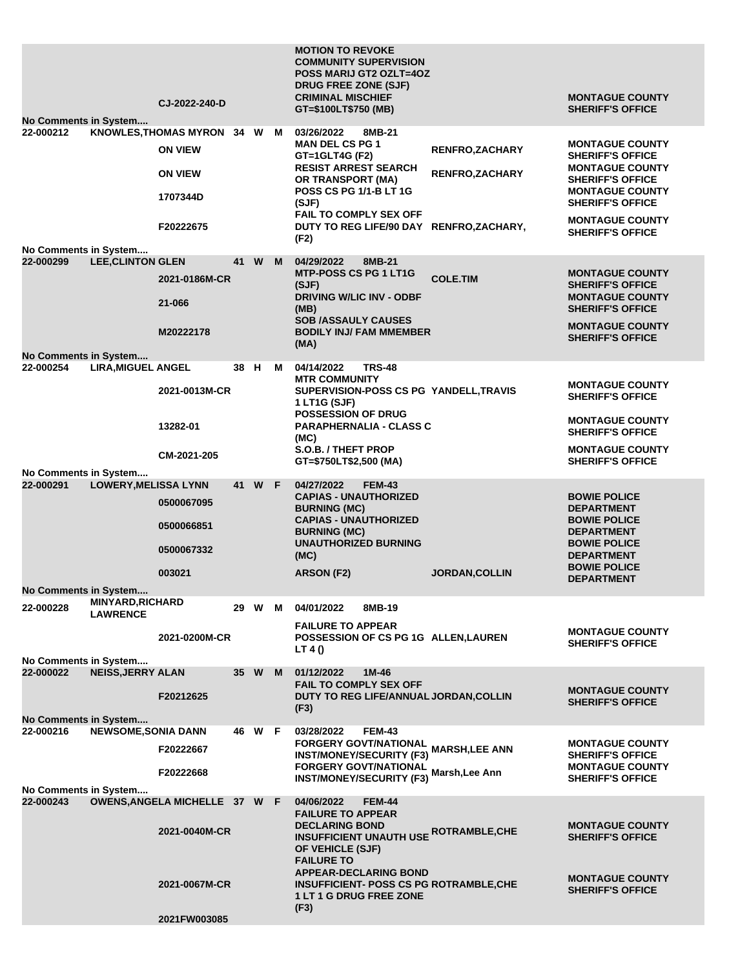|                                                             |                                            | CJ-2022-240-D                                                                             |      |        |        | <b>MOTION TO REVOKE</b><br><b>COMMUNITY SUPERVISION</b><br><b>POSS MARIJ GT2 OZLT=4OZ</b><br>DRUG FREE ZONE (SJF)<br><b>CRIMINAL MISCHIEF</b><br>GT=\$100LT\$750 (MB)                                                                                                                          |                                                  | <b>MONTAGUE COUNTY</b><br><b>SHERIFF'S OFFICE</b>                                                                                                                                                                |
|-------------------------------------------------------------|--------------------------------------------|-------------------------------------------------------------------------------------------|------|--------|--------|------------------------------------------------------------------------------------------------------------------------------------------------------------------------------------------------------------------------------------------------------------------------------------------------|--------------------------------------------------|------------------------------------------------------------------------------------------------------------------------------------------------------------------------------------------------------------------|
| No Comments in System<br>22-000212<br>No Comments in System |                                            | KNOWLES, THOMAS MYRON 34 W M<br><b>ON VIEW</b><br><b>ON VIEW</b><br>1707344D<br>F20222675 |      |        |        | 03/26/2022<br>8MB-21<br><b>MAN DEL CS PG 1</b><br>GT=1GLT4G (F2)<br><b>RESIST ARREST SEARCH</b><br><b>OR TRANSPORT (MA)</b><br><b>POSS CS PG 1/1-B LT 1G</b><br>(SJF)<br><b>FAIL TO COMPLY SEX OFF</b><br>DUTY TO REG LIFE/90 DAY RENFRO, ZACHARY,<br>(F2)                                     | <b>RENFRO, ZACHARY</b><br><b>RENFRO, ZACHARY</b> | <b>MONTAGUE COUNTY</b><br><b>SHERIFF'S OFFICE</b><br><b>MONTAGUE COUNTY</b><br><b>SHERIFF'S OFFICE</b><br><b>MONTAGUE COUNTY</b><br><b>SHERIFF'S OFFICE</b><br><b>MONTAGUE COUNTY</b><br><b>SHERIFF'S OFFICE</b> |
| 22-000299                                                   | <b>LEE, CLINTON GLEN</b>                   | 2021-0186M-CR<br>21-066<br>M20222178                                                      |      | 41 W M |        | 04/29/2022<br>8MB-21<br><b>MTP-POSS CS PG 1 LT1G</b><br>(SJF)<br><b>DRIVING W/LIC INV - ODBF</b><br>(MB)<br><b>SOB /ASSAULY CAUSES</b><br><b>BODILY INJ/ FAM MMEMBER</b><br>(MA)                                                                                                               | <b>COLE.TIM</b>                                  | <b>MONTAGUE COUNTY</b><br><b>SHERIFF'S OFFICE</b><br><b>MONTAGUE COUNTY</b><br><b>SHERIFF'S OFFICE</b><br><b>MONTAGUE COUNTY</b><br><b>SHERIFF'S OFFICE</b>                                                      |
| No Comments in System<br>22-000254                          | <b>LIRA, MIGUEL ANGEL</b>                  | 2021-0013M-CR<br>13282-01<br>CM-2021-205                                                  | 38 H |        | M      | <b>TRS-48</b><br>04/14/2022<br><b>MTR COMMUNITY</b><br>SUPERVISION-POSS CS PG YANDELL, TRAVIS<br>1 LT1G (SJF)<br><b>POSSESSION OF DRUG</b><br><b>PARAPHERNALIA - CLASS C</b><br>(MC)<br>S.O.B. / THEFT PROP<br>GT=\$750LT\$2,500 (MA)                                                          |                                                  | <b>MONTAGUE COUNTY</b><br><b>SHERIFF'S OFFICE</b><br><b>MONTAGUE COUNTY</b><br><b>SHERIFF'S OFFICE</b><br><b>MONTAGUE COUNTY</b><br><b>SHERIFF'S OFFICE</b>                                                      |
| No Comments in System<br>22-000291                          | <b>LOWERY, MELISSA LYNN</b>                | 0500067095<br>0500066851<br>0500067332<br>003021                                          |      | 41 W F |        | 04/27/2022<br><b>FEM-43</b><br><b>CAPIAS - UNAUTHORIZED</b><br><b>BURNING (MC)</b><br><b>CAPIAS - UNAUTHORIZED</b><br><b>BURNING (MC)</b><br><b>UNAUTHORIZED BURNING</b><br>(MC)<br><b>ARSON (F2)</b>                                                                                          | <b>JORDAN, COLLIN</b>                            | <b>BOWIE POLICE</b><br><b>DEPARTMENT</b><br><b>BOWIE POLICE</b><br><b>DEPARTMENT</b><br><b>BOWIE POLICE</b><br><b>DEPARTMENT</b><br><b>BOWIE POLICE</b><br><b>DEPARTMENT</b>                                     |
| No Comments in System<br>22-000228                          | <b>MINYARD, RICHARD</b><br><b>LAWRENCE</b> | 2021-0200M-CR                                                                             |      |        | 29 W M | 04/01/2022<br>8MB-19<br><b>FAILURE TO APPEAR</b><br>POSSESSION OF CS PG 1G ALLEN, LAUREN<br>LT 4 ()                                                                                                                                                                                            |                                                  | <b>MONTAGUE COUNTY</b><br><b>SHERIFF'S OFFICE</b>                                                                                                                                                                |
| No Comments in System<br>22-000022                          | <b>NEISS, JERRY ALAN</b>                   | F20212625                                                                                 |      | 35 W M |        | 01/12/2022<br>1M-46<br><b>FAIL TO COMPLY SEX OFF</b><br>DUTY TO REG LIFE/ANNUAL JORDAN, COLLIN<br>(F3)                                                                                                                                                                                         |                                                  | <b>MONTAGUE COUNTY</b><br><b>SHERIFF'S OFFICE</b>                                                                                                                                                                |
| <b>No Comments in System</b><br>22-000216                   | <b>NEWSOME, SONIA DANN</b>                 | F20222667<br>F20222668                                                                    |      | 46 W F |        | 03/28/2022<br><b>FEM-43</b><br><b>FORGERY GOVT/NATIONAL<br/>FORGERY GOVT/NATIONAL MARSH,LEE ANN</b><br><b>INST/MONEY/SECURITY (F3)</b><br><b>FORGERY GOVT/NATIONAL</b><br><b>INST/MONEY/SECURITY (F3)</b>                                                                                      | Marsh, Lee Ann                                   | <b>MONTAGUE COUNTY</b><br><b>SHERIFF'S OFFICE</b><br><b>MONTAGUE COUNTY</b><br><b>SHERIFF'S OFFICE</b>                                                                                                           |
| No Comments in System<br>22-000243                          |                                            | OWENS, ANGELA MICHELLE 37 W F<br>2021-0040M-CR<br>2021-0067M-CR                           |      |        |        | 04/06/2022<br><b>FEM-44</b><br><b>FAILURE TO APPEAR</b><br><b>DECLARING BOND</b><br><b>INSUFFICIENT UNAUTH USE ROTRAMBLE, CHE</b><br>OF VEHICLE (SJF)<br><b>FAILURE TO</b><br><b>APPEAR-DECLARING BOND</b><br><b>INSUFFICIENT- POSS CS PG ROTRAMBLE,CHE</b><br>1 LT 1 G DRUG FREE ZONE<br>(F3) |                                                  | <b>MONTAGUE COUNTY</b><br><b>SHERIFF'S OFFICE</b><br><b>MONTAGUE COUNTY</b><br><b>SHERIFF'S OFFICE</b>                                                                                                           |
|                                                             |                                            | 2021FW003085                                                                              |      |        |        |                                                                                                                                                                                                                                                                                                |                                                  |                                                                                                                                                                                                                  |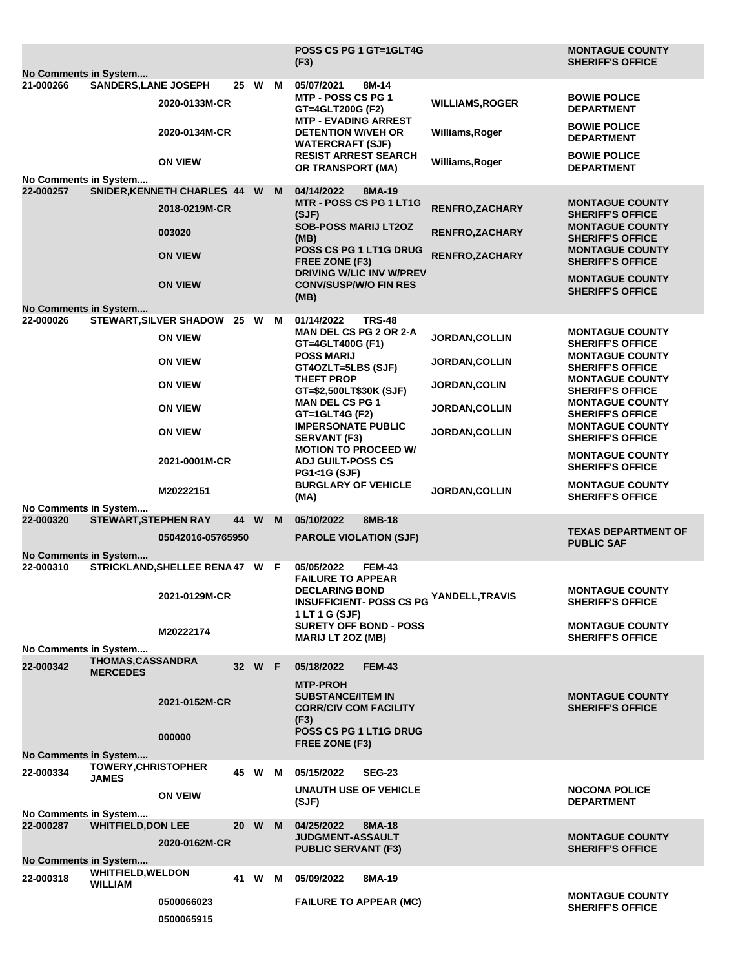|                                    |                                            |                               |      |        |    | <b>POSS CS PG 1 GT=1GLT4G</b><br>(F3)                                               |                                           | <b>MONTAGUE COUNTY</b><br><b>SHERIFF'S OFFICE</b> |
|------------------------------------|--------------------------------------------|-------------------------------|------|--------|----|-------------------------------------------------------------------------------------|-------------------------------------------|---------------------------------------------------|
| No Comments in System<br>21-000266 |                                            |                               |      |        |    |                                                                                     |                                           |                                                   |
|                                    | <b>SANDERS, LANE JOSEPH</b>                | 2020-0133M-CR                 |      | 25 W   | M  | 05/07/2021<br>8M-14<br>MTP - POSS CS PG 1<br>GT=4GLT200G (F2)                       | <b>WILLIAMS, ROGER</b>                    | <b>BOWIE POLICE</b><br><b>DEPARTMENT</b>          |
|                                    |                                            | 2020-0134M-CR                 |      |        |    | <b>MTP - EVADING ARREST</b><br><b>DETENTION W/VEH OR</b><br><b>WATERCRAFT (SJF)</b> | Williams, Roger                           | <b>BOWIE POLICE</b><br><b>DEPARTMENT</b>          |
|                                    |                                            | <b>ON VIEW</b>                |      |        |    | <b>RESIST ARREST SEARCH</b><br>OR TRANSPORT (MA)                                    | Williams, Roger                           | <b>BOWIE POLICE</b><br><b>DEPARTMENT</b>          |
| No Comments in System              |                                            |                               |      |        |    |                                                                                     |                                           |                                                   |
| 22-000257                          |                                            | SNIDER, KENNETH CHARLES 44 W  |      |        | M  | 04/14/2022<br>8MA-19<br><b>MTR - POSS CS PG 1 LT1G</b>                              |                                           | <b>MONTAGUE COUNTY</b>                            |
|                                    |                                            | 2018-0219M-CR<br>003020       |      |        |    | (SJF)<br><b>SOB-POSS MARIJ LT2OZ</b>                                                | RENFRO, ZACHARY<br><b>RENFRO, ZACHARY</b> | <b>SHERIFF'S OFFICE</b><br><b>MONTAGUE COUNTY</b> |
|                                    |                                            |                               |      |        |    | (MB)                                                                                |                                           | <b>SHERIFF'S OFFICE</b>                           |
|                                    |                                            | <b>ON VIEW</b>                |      |        |    | POSS CS PG 1 LT1G DRUG<br>FREE ZONE (F3)<br><b>DRIVING W/LIC INV W/PREV</b>         | <b>RENFRO, ZACHARY</b>                    | <b>MONTAGUE COUNTY</b><br><b>SHERIFF'S OFFICE</b> |
|                                    |                                            | <b>ON VIEW</b>                |      |        |    | <b>CONV/SUSP/W/O FIN RES</b><br>(MB)                                                |                                           | <b>MONTAGUE COUNTY</b><br><b>SHERIFF'S OFFICE</b> |
| No Comments in System<br>22-000026 |                                            | STEWART, SILVER SHADOW 25 W   |      |        | M  | 01/14/2022<br><b>TRS-48</b>                                                         |                                           |                                                   |
|                                    |                                            | <b>ON VIEW</b>                |      |        |    | <b>MAN DEL CS PG 2 OR 2-A</b><br>GT=4GLT400G (F1)                                   | <b>JORDAN, COLLIN</b>                     | <b>MONTAGUE COUNTY</b><br><b>SHERIFF'S OFFICE</b> |
|                                    |                                            | <b>ON VIEW</b>                |      |        |    | <b>POSS MARIJ</b><br>GT4OZLT=5LBS (SJF)                                             | <b>JORDAN, COLLIN</b>                     | <b>MONTAGUE COUNTY</b><br><b>SHERIFF'S OFFICE</b> |
|                                    |                                            | <b>ON VIEW</b>                |      |        |    | <b>THEFT PROP</b><br>GT=\$2,500LT\$30K (SJF)                                        | <b>JORDAN,COLIN</b>                       | <b>MONTAGUE COUNTY</b><br><b>SHERIFF'S OFFICE</b> |
|                                    |                                            | <b>ON VIEW</b>                |      |        |    | <b>MAN DEL CS PG 1</b><br>GT=1GLT4G (F2)                                            | <b>JORDAN,COLLIN</b>                      | <b>MONTAGUE COUNTY</b><br><b>SHERIFF'S OFFICE</b> |
|                                    |                                            | <b>ON VIEW</b>                |      |        |    | <b>IMPERSONATE PUBLIC</b><br><b>SERVANT (F3)</b><br><b>MOTION TO PROCEED W/</b>     | <b>JORDAN,COLLIN</b>                      | <b>MONTAGUE COUNTY</b><br><b>SHERIFF'S OFFICE</b> |
|                                    |                                            | 2021-0001M-CR                 |      |        |    | <b>ADJ GUILT-POSS CS</b><br><b>PG1&lt;1G (SJF)</b>                                  |                                           | <b>MONTAGUE COUNTY</b><br><b>SHERIFF'S OFFICE</b> |
|                                    |                                            | M20222151                     |      |        |    | <b>BURGLARY OF VEHICLE</b><br>(MA)                                                  | <b>JORDAN, COLLIN</b>                     | <b>MONTAGUE COUNTY</b><br><b>SHERIFF'S OFFICE</b> |
| No Comments in System<br>22-000320 | <b>STEWART, STEPHEN RAY</b>                |                               | 44 W |        | M  | 05/10/2022<br>8MB-18                                                                |                                           | <b>TEXAS DEPARTMENT OF</b>                        |
| No Comments in System              |                                            | 05042016-05765950             |      |        |    | <b>PAROLE VIOLATION (SJF)</b>                                                       |                                           | <b>PUBLIC SAF</b>                                 |
| 22-000310                          |                                            | STRICKLAND, SHELLEE RENA 47 W |      |        | -F | 05/05/2022<br><b>FEM-43</b>                                                         |                                           |                                                   |
|                                    |                                            | 2021-0129M-CR                 |      |        |    | <b>FAILURE TO APPEAR</b><br><b>DECLARING BOND</b><br><b>INSUFFICIENT-POSS CS PG</b> | YANDELL, TRAVIS                           | <b>MONTAGUE COUNTY</b><br><b>SHERIFF'S OFFICE</b> |
|                                    |                                            |                               |      |        |    | 1 LT 1 G (SJF)<br><b>SURETY OFF BOND - POSS</b>                                     |                                           | <b>MONTAGUE COUNTY</b>                            |
|                                    |                                            | M20222174                     |      |        |    | <b>MARIJ LT 20Z (MB)</b>                                                            |                                           | <b>SHERIFF'S OFFICE</b>                           |
| No Comments in System              |                                            |                               |      |        |    |                                                                                     |                                           |                                                   |
| 22-000342                          | <b>THOMAS,CASSANDRA</b><br><b>MERCEDES</b> |                               |      | 32 W F |    | 05/18/2022<br><b>FEM-43</b><br><b>MTP-PROH</b>                                      |                                           |                                                   |
|                                    |                                            | 2021-0152M-CR                 |      |        |    | <b>SUBSTANCE/ITEM IN</b><br><b>CORR/CIV COM FACILITY</b><br>(F3)                    |                                           | <b>MONTAGUE COUNTY</b><br><b>SHERIFF'S OFFICE</b> |
|                                    |                                            | 000000                        |      |        |    | <b>POSS CS PG 1 LT1G DRUG</b>                                                       |                                           |                                                   |
| No Comments in System              |                                            |                               |      |        |    | FREE ZONE (F3)                                                                      |                                           |                                                   |
| 22-000334                          | <b>TOWERY, CHRISTOPHER</b><br><b>JAMES</b> |                               | 45 W |        | м  | 05/15/2022<br><b>SEG-23</b>                                                         |                                           |                                                   |
|                                    |                                            | <b>ON VEIW</b>                |      |        |    | <b>UNAUTH USE OF VEHICLE</b><br>(SJF)                                               |                                           | <b>NOCONA POLICE</b><br><b>DEPARTMENT</b>         |
| No Comments in System              |                                            |                               |      |        |    |                                                                                     |                                           |                                                   |
| 22-000287                          | <b>WHITFIELD, DON LEE</b>                  | 2020-0162M-CR                 | 20 W |        | M  | 04/25/2022<br>8MA-18<br><b>JUDGMENT-ASSAULT</b><br><b>PUBLIC SERVANT (F3)</b>       |                                           | <b>MONTAGUE COUNTY</b><br><b>SHERIFF'S OFFICE</b> |
| No Comments in System              |                                            |                               |      |        |    |                                                                                     |                                           |                                                   |
| 22-000318                          | <b>WHITFIELD, WELDON</b><br><b>WILLIAM</b> |                               | 41 W |        | м  | 05/09/2022<br>8MA-19                                                                |                                           |                                                   |
|                                    |                                            | 0500066023                    |      |        |    | <b>FAILURE TO APPEAR (MC)</b>                                                       |                                           | <b>MONTAGUE COUNTY</b><br><b>SHERIFF'S OFFICE</b> |
|                                    |                                            | 0500065915                    |      |        |    |                                                                                     |                                           |                                                   |